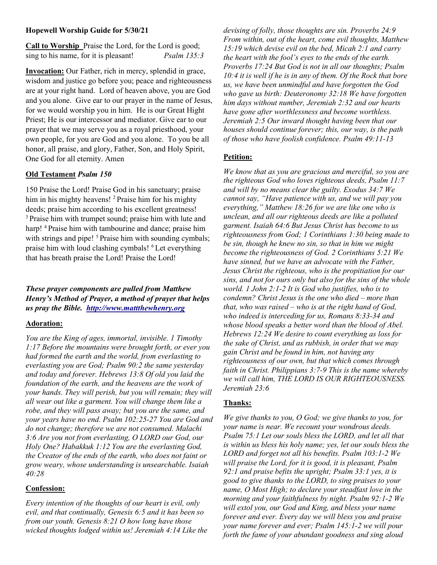#### Hopewell Worship Guide for 5/30/21

Call to Worship Praise the Lord, for the Lord is good; sing to his name, for it is pleasant! *Psalm 135:3* 

Invocation: Our Father, rich in mercy, splendid in grace, wisdom and justice go before you; peace and righteousness are at your right hand. Lord of heaven above, you are God and you alone. Give ear to our prayer in the name of Jesus, for we would worship you in him. He is our Great Hight Priest; He is our intercessor and mediator. Give ear to our prayer that we may serve you as a royal priesthood, your own people, for you are God and you alone. To you be all honor, all praise, and glory, Father, Son, and Holy Spirit, One God for all eternity. Amen

#### Old Testament Psalm 150

150 Praise the Lord! Praise God in his sanctuary; praise him in his mighty heavens! <sup>2</sup> Praise him for his mighty deeds; praise him according to his excellent greatness! <sup>3</sup> Praise him with trumpet sound; praise him with lute and harp! <sup>4</sup> Praise him with tambourine and dance; praise him with strings and pipe! <sup>5</sup> Praise him with sounding cymbals; praise him with loud clashing cymbals! <sup>6</sup>Let everything that has breath praise the Lord! Praise the Lord!

These prayer components are pulled from Matthew Henry's Method of Prayer, a method of prayer that helps us pray the Bible. http://www.mattthewhenry.org

# Adoration:

You are the King of ages, immortal, invisible. 1 Timothy 1:17 Before the mountains were brought forth, or ever you had formed the earth and the world, from everlasting to everlasting you are God; Psalm 90:2 the same yesterday and today and forever. Hebrews 13:8 Of old you laid the foundation of the earth, and the heavens are the work of your hands. They will perish, but you will remain; they will all wear out like a garment. You will change them like a robe, and they will pass away; but you are the same, and your years have no end. Psalm 102:25-27 You are God and do not change; therefore we are not consumed. Malachi 3:6 Are you not from everlasting, O LORD our God, our Holy One? Habakkuk 1:12 You are the everlasting God, the Creator of the ends of the earth, who does not faint or grow weary, whose understanding is unsearchable. Isaiah 40:28

#### Confession:

Every intention of the thoughts of our heart is evil, only evil, and that continually, Genesis 6:5 and it has been so from our youth. Genesis 8:21 O how long have those wicked thoughts lodged within us! Jeremiah 4:14 Like the devising of folly, those thoughts are sin. Proverbs 24:9 From within, out of the heart, come evil thoughts, Matthew 15:19 which devise evil on the bed, Micah 2:1 and carry the heart with the fool's eyes to the ends of the earth. Proverbs 17:24 But God is not in all our thoughts; Psalm 10:4 it is well if he is in any of them. Of the Rock that bore us, we have been unmindful and have forgotten the God who gave us birth: Deuteronomy 32:18 We have forgotten him days without number, Jeremiah 2:32 and our hearts have gone after worthlessness and become worthless. Jeremiah 2:5 Our inward thought having been that our houses should continue forever; this, our way, is the path of those who have foolish confidence. Psalm 49:11-13

# Petition:

We know that as you are gracious and merciful, so you are the righteous God who loves righteous deeds, Psalm 11:7 and will by no means clear the guilty. Exodus 34:7 We cannot say, "Have patience with us, and we will pay you everything," Matthew 18:26 for we are like one who is unclean, and all our righteous deeds are like a polluted garment. Isaiah 64:6 But Jesus Christ has become to us righteousness from God; 1 Corinthians 1:30 being made to be sin, though he knew no sin, so that in him we might become the righteousness of God. 2 Corinthians 5:21 We have sinned, but we have an advocate with the Father, Jesus Christ the righteous, who is the propitiation for our sins, and not for ours only but also for the sins of the whole world. 1 John 2:1-2 It is God who justifies, who is to condemn? Christ Jesus is the one who died – more than that, who was raised – who is at the right hand of God, who indeed is interceding for us, Romans 8:33-34 and whose blood speaks a better word than the blood of Abel. Hebrews 12:24 We desire to count everything as loss for the sake of Christ, and as rubbish, in order that we may gain Christ and be found in him, not having any righteousness of our own, but that which comes through faith in Christ. Philippians  $3:7-9$  This is the name whereby we will call him, THE LORD IS OUR RIGHTEOUSNESS. Jeremiah 23:6

# Thanks:

We give thanks to you, O God; we give thanks to you, for your name is near. We recount your wondrous deeds. Psalm 75:1 Let our souls bless the LORD, and let all that is within us bless his holy name; yes, let our souls bless the LORD and forget not all his benefits. Psalm 103:1-2 We will praise the Lord, for it is good, it is pleasant, Psalm 92:1 and praise befits the upright; Psalm  $33$ :1 yes, it is good to give thanks to the LORD, to sing praises to your name, O Most High; to declare your steadfast love in the morning and your faithfulness by night. Psalm 92:1-2 We will extol you, our God and King, and bless your name forever and ever. Every day we will bless you and praise your name forever and ever; Psalm 145:1-2 we will pour forth the fame of your abundant goodness and sing aloud